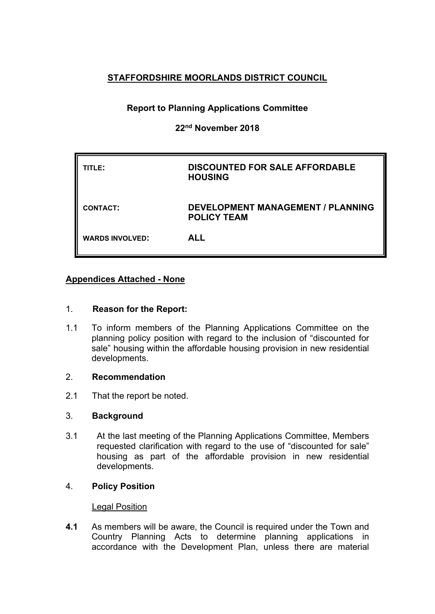## **STAFFORDSHIRE MOORLANDS DISTRICT COUNCIL**

# **Report to Planning Applications Committee**

## **22nd November 2018**

| TITLE:                 | <b>DISCOUNTED FOR SALE AFFORDABLE</b><br><b>HOUSING</b>        |
|------------------------|----------------------------------------------------------------|
| <b>CONTACT:</b>        | <b>DEVELOPMENT MANAGEMENT / PLANNING</b><br><b>POLICY TEAM</b> |
| <b>WARDS INVOLVED:</b> | <b>ALL</b>                                                     |

### **Appendices Attached - None**

#### 1. **Reason for the Report:**

1.1 To inform members of the Planning Applications Committee on the planning policy position with regard to the inclusion of "discounted for sale" housing within the affordable housing provision in new residential developments.

#### 2. **Recommendation**

2.1 That the report be noted.

#### 3. **Background**

3.1 At the last meeting of the Planning Applications Committee, Members requested clarification with regard to the use of "discounted for sale" housing as part of the affordable provision in new residential developments.

#### 4. **Policy Position**

#### Legal Position

**4.1** As members will be aware, the Council is required under the Town and Country Planning Acts to determine planning applications in accordance with the Development Plan, unless there are material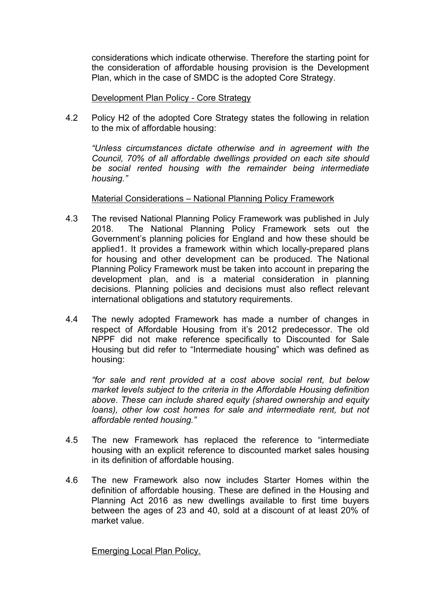considerations which indicate otherwise. Therefore the starting point for the consideration of affordable housing provision is the Development Plan, which in the case of SMDC is the adopted Core Strategy.

Development Plan Policy - Core Strategy

4.2 Policy H2 of the adopted Core Strategy states the following in relation to the mix of affordable housing:

*"Unless circumstances dictate otherwise and in agreement with the Council, 70% of all affordable dwellings provided on each site should be social rented housing with the remainder being intermediate housing."*

#### Material Considerations – National Planning Policy Framework

- 4.3 The revised National Planning Policy Framework was published in July 2018. The National Planning Policy Framework sets out the Government's planning policies for England and how these should be applied1. It provides a framework within which locally-prepared plans for housing and other development can be produced. The National Planning Policy Framework must be taken into account in preparing the development plan, and is a material consideration in planning decisions. Planning policies and decisions must also reflect relevant international obligations and statutory requirements.
- 4.4 The newly adopted Framework has made a number of changes in respect of Affordable Housing from it's 2012 predecessor. The old NPPF did not make reference specifically to Discounted for Sale Housing but did refer to "Intermediate housing" which was defined as housing:

*"for sale and rent provided at a cost above social rent, but below market levels subject to the criteria in the Affordable Housing definition above. These can include shared equity (shared ownership and equity loans), other low cost homes for sale and intermediate rent, but not affordable rented housing."*

- 4.5 The new Framework has replaced the reference to "intermediate housing with an explicit reference to discounted market sales housing in its definition of affordable housing.
- 4.6 The new Framework also now includes Starter Homes within the definition of affordable housing. These are defined in the Housing and Planning Act 2016 as new dwellings available to first time buyers between the ages of 23 and 40, sold at a discount of at least 20% of market value.

Emerging Local Plan Policy.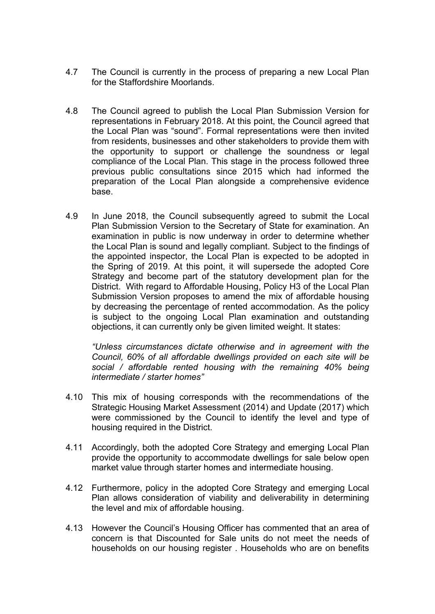- 4.7 The Council is currently in the process of preparing a new Local Plan for the Staffordshire Moorlands.
- 4.8 The Council agreed to publish the Local Plan Submission Version for representations in February 2018. At this point, the Council agreed that the Local Plan was "sound". Formal representations were then invited from residents, businesses and other stakeholders to provide them with the opportunity to support or challenge the soundness or legal compliance of the Local Plan. This stage in the process followed three previous public consultations since 2015 which had informed the preparation of the Local Plan alongside a comprehensive evidence base.
- 4.9 In June 2018, the Council subsequently agreed to submit the Local Plan Submission Version to the Secretary of State for examination. An examination in public is now underway in order to determine whether the Local Plan is sound and legally compliant. Subject to the findings of the appointed inspector, the Local Plan is expected to be adopted in the Spring of 2019. At this point, it will supersede the adopted Core Strategy and become part of the statutory development plan for the District. With regard to Affordable Housing, Policy H3 of the Local Plan Submission Version proposes to amend the mix of affordable housing by decreasing the percentage of rented accommodation. As the policy is subject to the ongoing Local Plan examination and outstanding objections, it can currently only be given limited weight. It states:

*"Unless circumstances dictate otherwise and in agreement with the Council, 60% of all affordable dwellings provided on each site will be social / affordable rented housing with the remaining 40% being intermediate / starter homes"*

- 4.10 This mix of housing corresponds with the recommendations of the Strategic Housing Market Assessment (2014) and Update (2017) which were commissioned by the Council to identify the level and type of housing required in the District.
- 4.11 Accordingly, both the adopted Core Strategy and emerging Local Plan provide the opportunity to accommodate dwellings for sale below open market value through starter homes and intermediate housing.
- 4.12 Furthermore, policy in the adopted Core Strategy and emerging Local Plan allows consideration of viability and deliverability in determining the level and mix of affordable housing.
- 4.13 However the Council's Housing Officer has commented that an area of concern is that Discounted for Sale units do not meet the needs of households on our housing register . Households who are on benefits